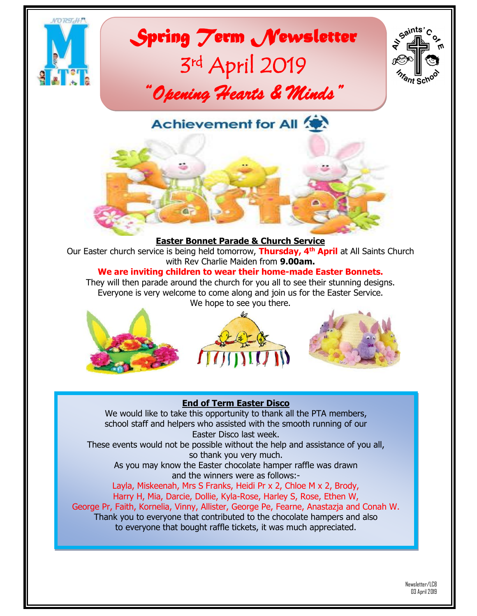

# *Spring Term Newsletter*  3 rd April 2019 *"Opening Hearts & Minds"*



**Achievement for All** 

### **Easter Bonnet Parade & Church Service**

Our Easter church service is being held tomorrow, **Thursday, 4th April** at All Saints Church with Rev Charlie Maiden from **9.00am.**

### **We are inviting children to wear their home-made Easter Bonnets.**

They will then parade around the church for you all to see their stunning designs. Everyone is very welcome to come along and join us for the Easter Service. We hope to see you there.







### **End of Term Easter Disco**

We would like to take this opportunity to thank all the PTA members, school staff and helpers who assisted with the smooth running of our Easter Disco last week.

These events would not be possible without the help and assistance of you all, so thank you very much.

As you may know the Easter chocolate hamper raffle was drawn and the winners were as follows:-

Layla, Miskeenah, Mrs S Franks, Heidi Pr x 2, Chloe M x 2, Brody, Harry H, Mia, Darcie, Dollie, Kyla-Rose, Harley S, Rose, Ethen W, George Pr, Faith, Kornelia, Vinny, Allister, George Pe, Fearne, Anastazja and Conah W. Thank you to everyone that contributed to the chocolate hampers and also to everyone that bought raffle tickets, it was much appreciated.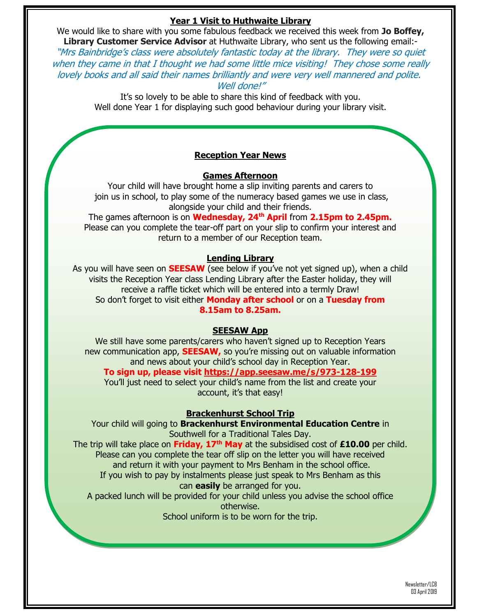### **Year 1 Visit to Huthwaite Library**

We would like to share with you some fabulous feedback we received this week from **Jo Boffey, Library Customer Service Advisor** at Huthwaite Library, who sent us the following email:-

"Mrs Bainbridge's class were absolutely fantastic today at the library. They were so quiet when they came in that I thought we had some little mice visiting! They chose some really lovely books and all said their names brilliantly and were very well mannered and polite. Well done!"

> It's so lovely to be able to share this kind of feedback with you. Well done Year 1 for displaying such good behaviour during your library visit.

### **Reception Year News**

#### **Games Afternoon**

Your child will have brought home a slip inviting parents and carers to join us in school, to play some of the numeracy based games we use in class, alongside your child and their friends.

The games afternoon is on **Wednesday, 24th April** from **2.15pm to 2.45pm.** Please can you complete the tear-off part on your slip to confirm your interest and return to a member of our Reception team.

### **Lending Library**

As you will have seen on **SEESAW** (see below if you've not yet signed up), when a child visits the Reception Year class Lending Library after the Easter holiday, they will receive a raffle ticket which will be entered into a termly Draw! So don't forget to visit either **Monday after school** or on a **Tuesday from 8.15am to 8.25am.**

#### **SEESAW App**

We still have some parents/carers who haven't signed up to Reception Years new communication app, **SEESAW,** so you're missing out on valuable information and news about your child's school day in Reception Year.

### **To sign up, please visit<https://app.seesaw.me/s/973-128-199>**

You'll just need to select your child's name from the list and create your account, it's that easy!

### **Brackenhurst School Trip**

Your child will going to **Brackenhurst Environmental Education Centre** in Southwell for a Traditional Tales Day.

The trip will take place on **Friday, 17th May** at the subsidised cost of **£10.00** per child. Please can you complete the tear off slip on the letter you will have received and return it with your payment to Mrs Benham in the school office. If you wish to pay by instalments please just speak to Mrs Benham as this

#### can **easily** be arranged for you.

A packed lunch will be provided for your child unless you advise the school office otherwise.

School uniform is to be worn for the trip.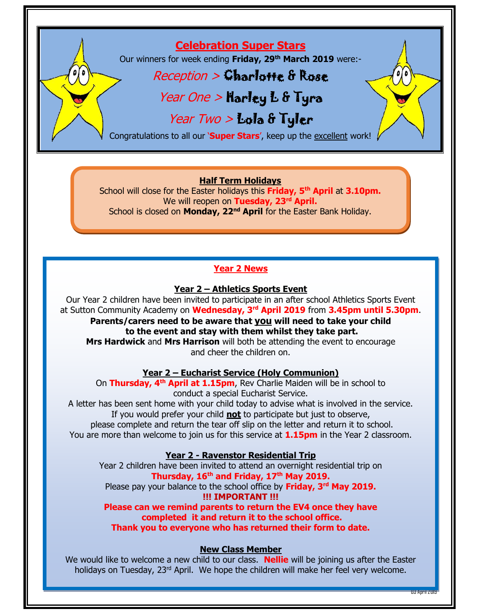### **Celebration Super Stars**

Our winners for week ending **Friday, 29th March 2019** were:-

### $Reception > Chapter 6$

### Year One > Harley L & Tyra

### Year Two > Lola & Tyler

Congratulations to all our '**Super Stars**', keep up the excellent work!

### **Half Term Holidays**

School will close for the Easter holidays this **Friday, 5th April** at **3.10pm.** We will reopen on **Tuesday, 23rd April.** School is closed on **Monday, 22nd April** for the Easter Bank Holiday.

### **Year 2 News**

### **Year 2 – Athletics Sports Event**

Our Year 2 children have been invited to participate in an after school Athletics Sports Event at Sutton Community Academy on **Wednesday, 3rd April 2019** from **3.45pm until 5.30pm**.

**Parents/carers need to be aware that you will need to take your child to the event and stay with them whilst they take part. Mrs Hardwick** and **Mrs Harrison** will both be attending the event to encourage and cheer the children on.

**Year 2 – Eucharist Service (Holy Communion)** On **Thursday, 4th April at 1.15pm**, Rev Charlie Maiden will be in school to conduct a special Eucharist Service.

A letter has been sent home with your child today to advise what is involved in the service. If you would prefer your child **not** to participate but just to observe,

please complete and return the tear off slip on the letter and return it to school. You are more than welcome to join us for this service at **1.15pm** in the Year 2 classroom.

### **Year 2 - Ravenstor Residential Trip**

Year 2 children have been invited to attend an overnight residential trip on **Thursday, 16th and Friday, 17th May 2019.** 

Please pay your balance to the school office by **Friday, 3rd May 2019. !!! IMPORTANT !!!** 

**Please can we remind parents to return the EV4 once they have completed it and return it to the school office.** 

**Thank you to everyone who has returned their form to date.**

### **New Class Member**

We would like to welcome a new child to our class. **Nellie** will be joining us after the Easter holidays on Tuesday, 23<sup>rd</sup> April. We hope the children will make her feel very welcome.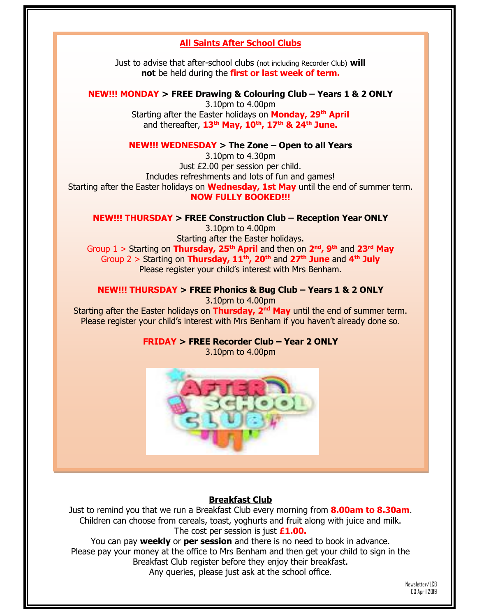### **All Saints After School Clubs**

Just to advise that after-school clubs (not including Recorder Club) **will not** be held during the **first or last week of term.**

**NEW!!! MONDAY > FREE Drawing & Colouring Club – Years 1 & 2 ONLY** 3.10pm to 4.00pm Starting after the Easter holidays on **Monday, 29th April** and thereafter, **13th May, 10th, 17th & 24th June.**

### **NEW!!! WEDNESDAY > The Zone – Open to all Years**

3.10pm to 4.30pm Just £2.00 per session per child. Includes refreshments and lots of fun and games! Starting after the Easter holidays on **Wednesday, 1st May** until the end of summer term. **NOW FULLY BOOKED!!!**

**NEW!!! THURSDAY > FREE Construction Club – Reception Year ONLY**

3.10pm to 4.00pm Starting after the Easter holidays. Group 1 > Starting on **Thursday, 25th April** and then on **2 nd, 9th** and **23rd May** Group 2 > Starting on **Thursday, 11th, 20th** and **27th June** and **4 th July** Please register your child's interest with Mrs Benham.

**NEW!!! THURSDAY > FREE Phonics & Bug Club – Years 1 & 2 ONLY**

3.10pm to 4.00pm

Starting after the Easter holidays on **Thursday, 2<sup>nd</sup> May** until the end of summer term. Please register your child's interest with Mrs Benham if you haven't already done so.

**FRIDAY > FREE Recorder Club – Year 2 ONLY**

3.10pm to 4.00pm



### **Breakfast Club**

Just to remind you that we run a Breakfast Club every morning from **8.00am to 8.30am**. Children can choose from cereals, toast, yoghurts and fruit along with juice and milk. The cost per session is just **£1.00.** 

You can pay **weekly** or **per session** and there is no need to book in advance. Please pay your money at the office to Mrs Benham and then get your child to sign in the Breakfast Club register before they enjoy their breakfast. Any queries, please just ask at the school office.

> Newsletter/LCB 03 April 2019